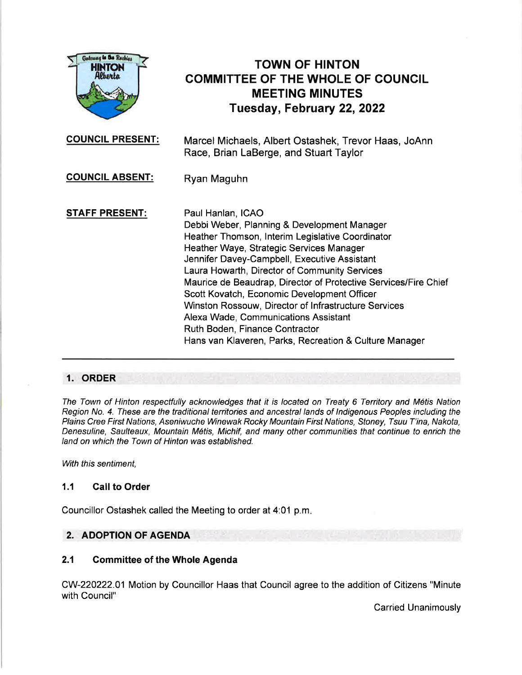

# TOWN OF HINTON COMMITTEE OF THE WHOLE OF COUNCIL MEETING MINUTES Tuesday, February 22, 2022

Marcel Michaels, Albert Ostashek, Trevor Haas, JoAnn Race, Brian LaBerge, and Stuart Taylor COUNCIL PRESENT:

COUNCIL ABSENT: Ryan Maguhn

STAFF PRESENT: Paul Hanlan, ICAO Debbi Weber, Planning & Development Manager Heather Thomson, lnterim Legislative Coordinator Heather Waye, Strategic Services Manager Jennifer Davey-Campbell, Executive Assistant Laura Howarth, Director of Community Services Maurice de Beaudrap, Director of Protective Services/Fire Chief Scott Kovatch, Economic Development Officer Winston Rossouw, Director of lnfrastructure Services Alexa Wade, Communications Assistant Ruth Boden, Finance Contractor Hans van Klaveren, Parks, Recreation & Culture Manager

# 1. ORDER

The Town of Hinton respectfully acknowledges that it is located on Treaty 6 Territory and Métis Nation Region No. 4. These are the traditional territories and ancestral lands of Indigenous Peoples including the Plains Cree First Nations, Aseniwuche Winewak Rocky Mountain First Nations, Stoney, Tsuu T'ina, Nakota, Denesuline, Saulteaux, Mountain M6tis, Michif, and many other communities that continue to enrich the land on which the Town of Hinton was established.

With this sentiment,

# 1.1 Call to Order

Councillor Ostashek called the Meeting to order at 4:01 p.m

# 2. ADOPTION OF AGENDA

# 2.1 Gommittee of the Whole Agenda

CW-220222.01 Motion by Councillor Haas that Council agree to the addition of Citizens "Minute with Council"

Carried Unanimously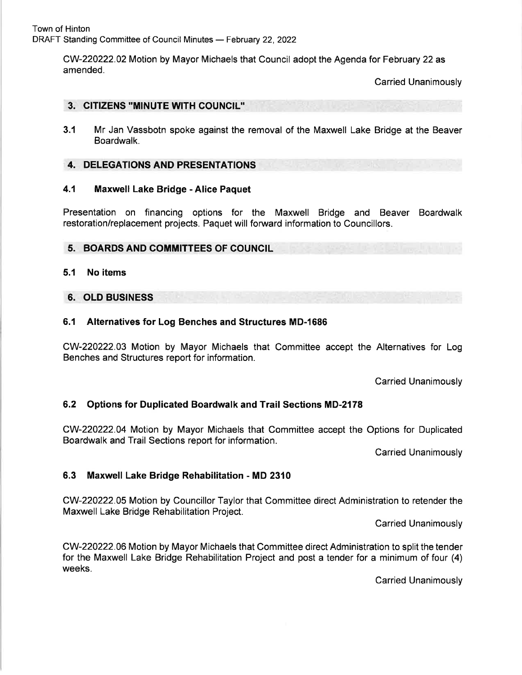CW-220222.02 Motion by Mayor Michaels that Council adopt the Agenda for February 22 as amended.

Carried Unanimously

## 3. GITIZENS "MINUTE WTH COUNCIL''

3.1 Mr Jan Vassbotn spoke against the removal of the Maxwell Lake Bridge at the Beaver Boardwalk.

## 4. DELEGATIONS AND PRESENTATIONS

#### 4.1 Maxwell Lake Bridge - Alice Paquet

Presentation on financing options for the Maxwell Bridge and Beaver Boardwalk restoration/replacement projects. Paquet will forward information to Councillors.

## 5. BOARDS AND COMMITTEES OF COUNCIL

## 5.1 No items

## 6. OLD BUSINESS

## 6.1 Alternatives for Log Benches and Structures MD-1686

CW-220222.03 Motion by Mayor Michaels that Committee accept the Alternatives for Log Benches and Structures report for information.

Carried Unanimously

# 6.2 Options for Duplicated Boardwalk and Trail Sections MD-2178

CW-220222.04 Motion by Mayor Michaels that Committee accept the Options for Duplicated Boardwalk and Trail Sections report for information.

Carried Unanimously

# 6.3 Maxwell Lake Bridge Rehabilitation - MD 2310

CW-220222.05 Motion by Councillor Taylor that Committee direct Administration to retender the Maxwell Lake Bridge Rehabilitation Project.

Carried Unanimously

CW-220222.06 Motion by Mayor Michaels that Committee direct Administration to split the tender for the Maxwell Lake Bridge Rehabilitation Project and post a tender for a minimum of four (4) weeks.

Carried Unanimously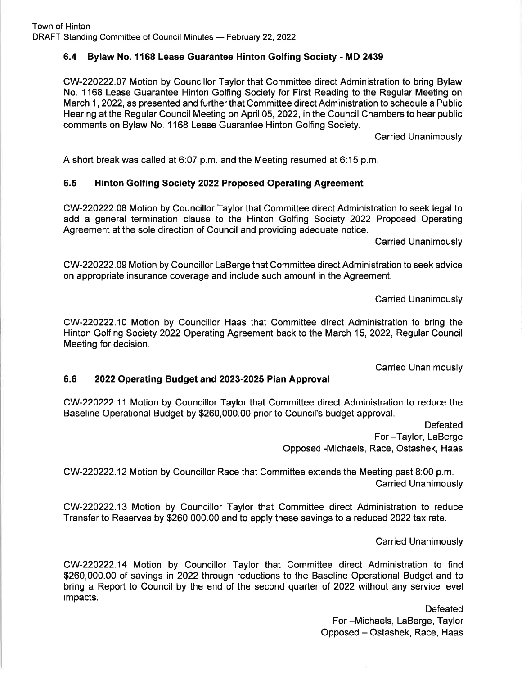# 6.4 Bylaw No. 1168 Lease Guarantee Hinton Golfing Society - MD 2439

CW-220222.07 Motion by Councillor Taylor that Committee direct Administration to bring Bylaw No. 1168 Lease Guarantee Hinton Golfing Society for First Reading to the Regular Meeting on March 1, 2022, as presented and further that Committee direct Administration to schedule a Public Hearing at the Regular Council Meeting on April 05,2022, in the Council Chambers to hear public comments on Bylaw No. 1168 Lease Guarantee Hinton Golfing Society.

Carried Unanimously

A short break was called at 6:07 p.m. and the Meeting resumed at 6:15 p.m

# 6.5 Hinton Golfing Society 2022 Proposed Operating Agreement

CW-220222.08 Motion by Councillor Taylor that Committee direct Administration to seek legal to add a general termination clause to the Hinton Golfing Society 2022 Proposed Operating Agreement at the sole direction of Council and providing adequate notice.

Carried Unanimously

CW-220222.09 Motion by Councillor LaBerge that Committee directAdministration to seek advice on appropriate insurance coverage and include such amount in the Agreement.

Carried Unanimously

CW-220222.10 Motion by Councillor Haas that Committee direct Administration to bring the Hinton Golfing Society 2022 Operating Agreement back to the March 15,2022, Regular Council Meeting for decision.

Carried Unanimously

# 6.6 2022 Operating Budget and 2023-2025 Plan Approval

CW-220222.11 Motion by Councillor Taylor that Committee direct Administration to reduce the Baseline Operational Budget by \$260,000.00 prior to Council's budget approval.

> Defeated For -Taylor, LaBerge Opposed -Michaels, Race, Ostashek, Haas

CW-220222.12 Motion by Councillor Race that Committee extends the Meeting past 8:00 p.m. Carried Unanimously

CW-220222.13 Motion by Councillor Taylor that Committee direct Administration to reduce Transfer to Reserves by \$260,000.00 and to apply these savings to a reduced 2022 tax rate.

Carried Unanimously

CW-220222.14 Motion by Councillor Taylor that Committee direct Administration to find \$260,000.00 of savings in 2022 through reductions to the Baseline Operational Budget and to bring a Report to Council by the end of the second quarter of 2022 without any service level impacts.

> Defeated For -Michaels, LaBerge, Taylor Opposed - Ostashek, Race, Haas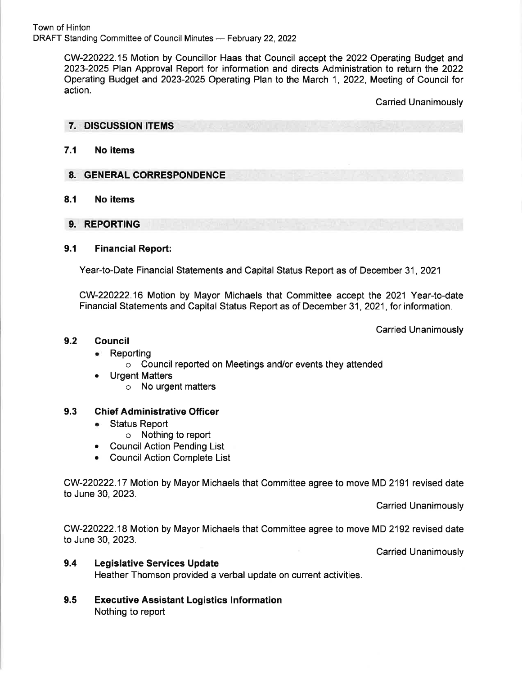Town of Hinton DRAFT Standing Committee of Council Minutes — February 22, 2022<br>.

> CW-220222.15 Motion by Councillor Haas that Council accept the 2022 Operating Budget and 2023-2025 Plan Approval Report for information and directs Administration to return the 2022 Operating Budget and 2023-2025 Operating Plan to the March 1, 2022, Meeting of Council for action.

> > Carried Unanimously

#### 7. DISCUSSION ITEMS

#### 7.1 No items

#### 8. GENERAL CORRESPONDENCE

#### 8.1 No items

9. REPORTING

## 9.1 Financial Report:

Year-to-Date Financial Statements and Capital Status Report as of December 31 ,2021

CW-220222.16 Motion by Mayor Michaels that Committee accept the 2021 Year-to-date Financial Statements and Capital Status Report as of December 31 ,2021, for information.

Carried Unanimously

#### 9.2 Gouncil

# Reporting

- o Council reported on Meetings and/or events they attended
- . Urgent Matters
	- o No urgent matters

#### 9.3 Ghief Administrative Officer

- . Status Report
	- o Nothing to report
- . CouncilAction Pending List
- . CouncilAction Complete List

CW-220222.17 Motion by Mayor Michaels that Committee agree to move MD 2191 revised date to June 30,2023.

Carried Unanimously

CW-220222.18 Motion by Mayor Michaels that Committee agree to move MD 2192 revised date to June 30,2023.

Carried Unanimously

## 9.4 Legislative Services Update

Heather Thomson provided a verbal update on current activities.

Executive Assistant Logistics lnformation Nothing to report 9.5